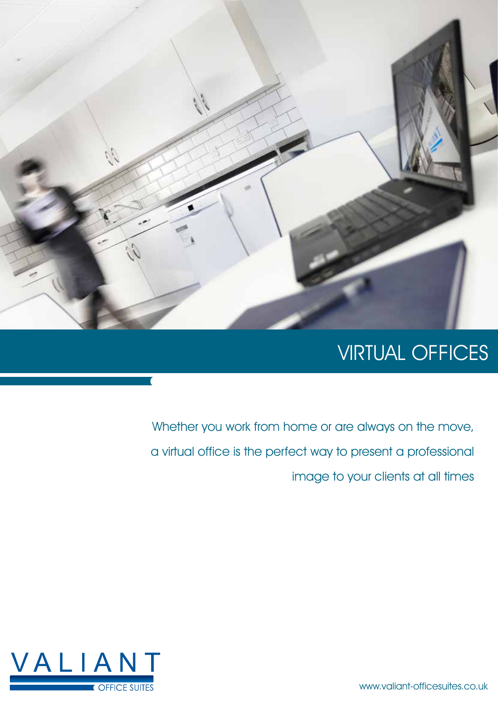

## VIRTUAL OFFICES

Whether you work from home or are always on the move, a virtual office is the perfect way to present a professional image to your clients at all times



www.valiant-officesuites.co.uk